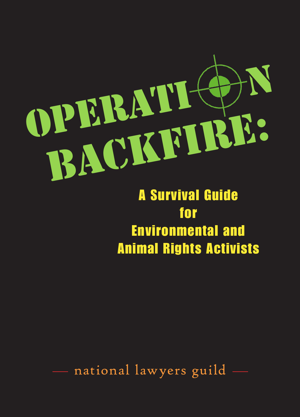

A Survival Guide for Environmental and Animal Rights Activists

national lawyers guild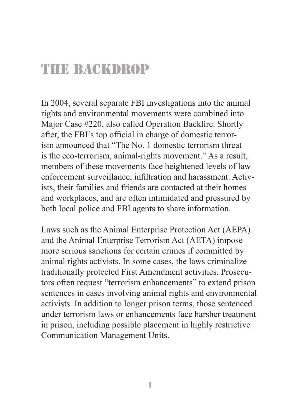## The Backdrop

In 2004, several separate FBI investigations into the animal rights and environmental movements were combined into Major Case #220, also called Operation Backfire. Shortly after, the FBI's top official in charge of domestic terrorism announced that "The No. 1 domestic terrorism threat is the eco-terrorism, animal-rights movement." As a result, members of these movements face heightened levels of law enforcement surveillance, infiltration and harassment. Activists, their families and friends are contacted at their homes and workplaces, and are often intimidated and pressured by both local police and FBI agents to share information.

Laws such as the Animal Enterprise Protection Act (AEPA) and the Animal Enterprise Terrorism Act (AETA) impose more serious sanctions for certain crimes if committed by animal rights activists. In some cases, the laws criminalize traditionally protected First Amendment activities. Prosecutors often request "terrorism enhancements" to extend prison sentences in cases involving animal rights and environmental activists. In addition to longer prison terms, those sentenced under terrorism laws or enhancements face harsher treatment in prison, including possible placement in highly restrictive Communication Management Units.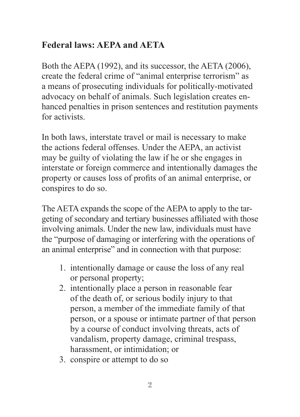### **Federal laws: AEPA and AETA**

Both the AEPA (1992), and its successor, the AETA (2006), create the federal crime of "animal enterprise terrorism" as a means of prosecuting individuals for politically-motivated advocacy on behalf of animals. Such legislation creates enhanced penalties in prison sentences and restitution payments for activists.

In both laws, interstate travel or mail is necessary to make the actions federal offenses. Under the AEPA, an activist may be guilty of violating the law if he or she engages in interstate or foreign commerce and intentionally damages the property or causes loss of profits of an animal enterprise, or conspires to do so.

The AETA expands the scope of the AEPA to apply to the targeting of secondary and tertiary businesses affiliated with those involving animals. Under the new law, individuals must have the "purpose of damaging or interfering with the operations of an animal enterprise" and in connection with that purpose:

- 1. intentionally damage or cause the loss of any real or personal property;
- 2. intentionally place a person in reasonable fear of the death of, or serious bodily injury to that person, a member of the immediate family of that person, or a spouse or intimate partner of that person by a course of conduct involving threats, acts of vandalism, property damage, criminal trespass, harassment, or intimidation; or
- 3. conspire or attempt to do so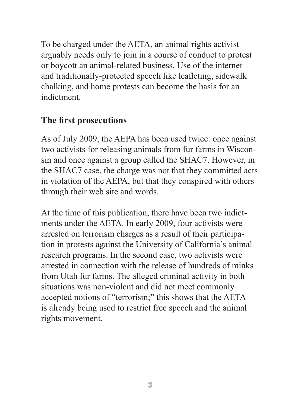To be charged under the AETA, an animal rights activist arguably needs only to join in a course of conduct to protest or boycott an animal-related business. Use of the internet and traditionally-protected speech like leafleting, sidewalk chalking, and home protests can become the basis for an indictment.

#### **The first prosecutions**

As of July 2009, the AEPA has been used twice: once against two activists for releasing animals from fur farms in Wisconsin and once against a group called the SHAC7. However, in the SHAC7 case, the charge was not that they committed acts in violation of the AEPA, but that they conspired with others through their web site and words.

At the time of this publication, there have been two indictments under the AETA. In early 2009, four activists were arrested on terrorism charges as a result of their participation in protests against the University of California's animal research programs. In the second case, two activists were arrested in connection with the release of hundreds of minks from Utah fur farms. The alleged criminal activity in both situations was non-violent and did not meet commonly accepted notions of "terrorism;" this shows that the AETA is already being used to restrict free speech and the animal rights movement.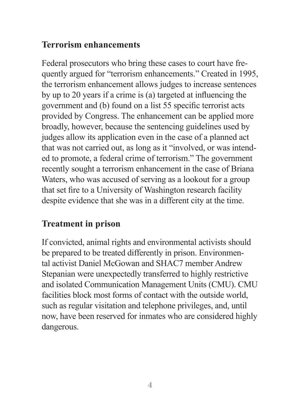#### **Terrorism enhancements**

Federal prosecutors who bring these cases to court have frequently argued for "terrorism enhancements." Created in 1995, the terrorism enhancement allows judges to increase sentences by up to 20 years if a crime is  $(a)$  targeted at influencing the government and (b) found on a list 55 specific terrorist acts provided by Congress. The enhancement can be applied more broadly, however, because the sentencing guidelines used by judges allow its application even in the case of a planned act that was not carried out, as long as it "involved, or was intended to promote, a federal crime of terrorism." The government recently sought a terrorism enhancement in the case of Briana Waters, who was accused of serving as a lookout for a group that set fire to a University of Washington research facility despite evidence that she was in a different city at the time.

#### **Treatment in prison**

If convicted, animal rights and environmental activists should be prepared to be treated differently in prison. Environmental activist Daniel McGowan and SHAC7 member Andrew Stepanian were unexpectedly transferred to highly restrictive and isolated Communication Management Units (CMU). CMU facilities block most forms of contact with the outside world, such as regular visitation and telephone privileges, and, until now, have been reserved for inmates who are considered highly dangerous.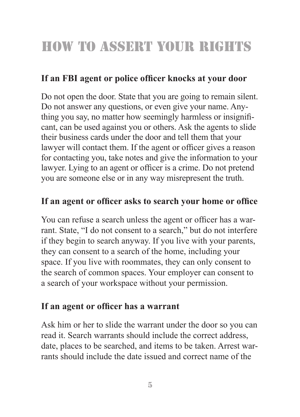# How to Assert your rights

### If an FBI agent or police officer knocks at your door

Do not open the door. State that you are going to remain silent. Do not answer any questions, or even give your name. Anything you say, no matter how seemingly harmless or insignificant, can be used against you or others. Ask the agents to slide their business cards under the door and tell them that your lawyer will contact them. If the agent or officer gives a reason for contacting you, take notes and give the information to your lawyer. Lying to an agent or officer is a crime. Do not pretend you are someone else or in any way misrepresent the truth.

#### If an agent or officer asks to search your home or office

You can refuse a search unless the agent or officer has a warrant. State, "I do not consent to a search," but do not interfere if they begin to search anyway. If you live with your parents, they can consent to a search of the home, including your space. If you live with roommates, they can only consent to the search of common spaces. Your employer can consent to a search of your workspace without your permission.

#### If an agent or officer has a warrant

Ask him or her to slide the warrant under the door so you can read it. Search warrants should include the correct address, date, places to be searched, and items to be taken. Arrest warrants should include the date issued and correct name of the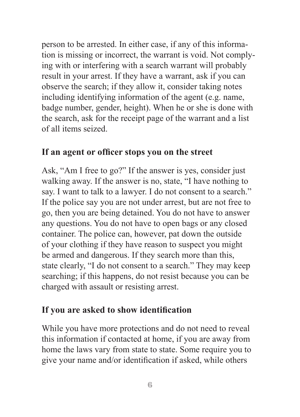person to be arrested. In either case, if any of this information is missing or incorrect, the warrant is void. Not complying with or interfering with a search warrant will probably result in your arrest. If they have a warrant, ask if you can observe the search; if they allow it, consider taking notes including identifying information of the agent (e.g. name, badge number, gender, height). When he or she is done with the search, ask for the receipt page of the warrant and a list of all items seized.

#### If an agent or officer stops you on the street

Ask, "Am I free to go?" If the answer is yes, consider just walking away. If the answer is no, state, "I have nothing to say. I want to talk to a lawyer. I do not consent to a search." If the police say you are not under arrest, but are not free to go, then you are being detained. You do not have to answer any questions. You do not have to open bags or any closed container. The police can, however, pat down the outside of your clothing if they have reason to suspect you might be armed and dangerous. If they search more than this, state clearly, "I do not consent to a search." They may keep searching; if this happens, do not resist because you can be charged with assault or resisting arrest.

#### If you are asked to show identification

While you have more protections and do not need to reveal this information if contacted at home, if you are away from home the laws vary from state to state. Some require you to give your name and/or identification if asked, while others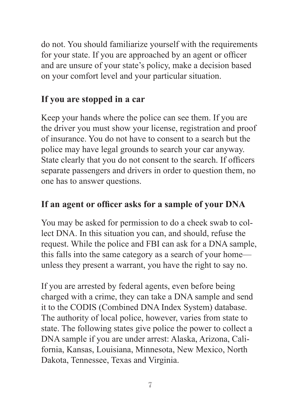do not. You should familiarize yourself with the requirements for your state. If you are approached by an agent or officer and are unsure of your state's policy, make a decision based on your comfort level and your particular situation.

#### **If you are stopped in a car**

Keep your hands where the police can see them. If you are the driver you must show your license, registration and proof of insurance. You do not have to consent to a search but the police may have legal grounds to search your car anyway. State clearly that you do not consent to the search. If officers separate passengers and drivers in order to question them, no one has to answer questions.

#### If an agent or officer asks for a sample of your DNA

You may be asked for permission to do a cheek swab to collect DNA. In this situation you can, and should, refuse the request. While the police and FBI can ask for a DNA sample, this falls into the same category as a search of your home unless they present a warrant, you have the right to say no.

If you are arrested by federal agents, even before being charged with a crime, they can take a DNA sample and send it to the CODIS (Combined DNA Index System) database. The authority of local police, however, varies from state to state. The following states give police the power to collect a DNA sample if you are under arrest: Alaska, Arizona, California, Kansas, Louisiana, Minnesota, New Mexico, North Dakota, Tennessee, Texas and Virginia.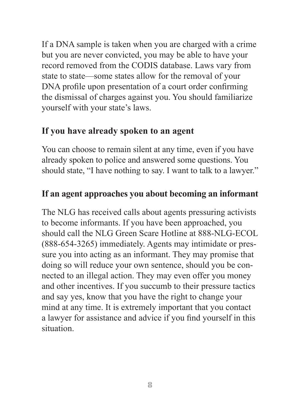If a DNA sample is taken when you are charged with a crime but you are never convicted, you may be able to have your record removed from the CODIS database. Laws vary from state to state—some states allow for the removal of your DNA profile upon presentation of a court order confirming the dismissal of charges against you. You should familiarize yourself with your state's laws.

#### **If you have already spoken to an agent**

You can choose to remain silent at any time, even if you have already spoken to police and answered some questions. You should state, "I have nothing to say. I want to talk to a lawyer."

#### **If an agent approaches you about becoming an informant**

The NLG has received calls about agents pressuring activists to become informants. If you have been approached, you should call the NLG Green Scare Hotline at 888-NLG-ECOL (888-654-3265) immediately. Agents may intimidate or pressure you into acting as an informant. They may promise that doing so will reduce your own sentence, should you be connected to an illegal action. They may even offer you money and other incentives. If you succumb to their pressure tactics and say yes, know that you have the right to change your mind at any time. It is extremely important that you contact a lawyer for assistance and advice if you find yourself in this situation.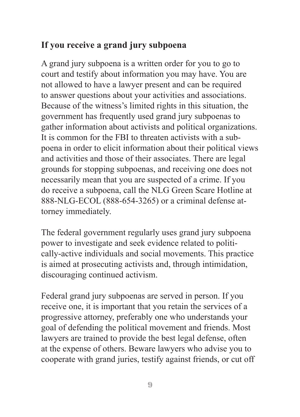### **If you receive a grand jury subpoena**

A grand jury subpoena is a written order for you to go to court and testify about information you may have. You are not allowed to have a lawyer present and can be required to answer questions about your activities and associations. Because of the witness's limited rights in this situation, the government has frequently used grand jury subpoenas to gather information about activists and political organizations. It is common for the FBI to threaten activists with a subpoena in order to elicit information about their political views and activities and those of their associates. There are legal grounds for stopping subpoenas, and receiving one does not necessarily mean that you are suspected of a crime. If you do receive a subpoena, call the NLG Green Scare Hotline at 888-NLG-ECOL (888-654-3265) or a criminal defense attorney immediately.

The federal government regularly uses grand jury subpoena power to investigate and seek evidence related to politically-active individuals and social movements. This practice is aimed at prosecuting activists and, through intimidation, discouraging continued activism.

Federal grand jury subpoenas are served in person. If you receive one, it is important that you retain the services of a progressive attorney, preferably one who understands your goal of defending the political movement and friends. Most lawyers are trained to provide the best legal defense, often at the expense of others. Beware lawyers who advise you to cooperate with grand juries, testify against friends, or cut off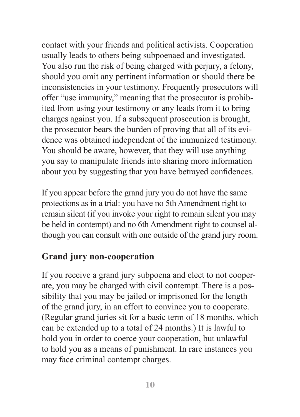contact with your friends and political activists. Cooperation usually leads to others being subpoenaed and investigated. You also run the risk of being charged with perjury, a felony, should you omit any pertinent information or should there be inconsistencies in your testimony. Frequently prosecutors will offer "use immunity," meaning that the prosecutor is prohibited from using your testimony or any leads from it to bring charges against you. If a subsequent prosecution is brought, the prosecutor bears the burden of proving that all of its evidence was obtained independent of the immunized testimony. You should be aware, however, that they will use anything you say to manipulate friends into sharing more information about you by suggesting that you have betrayed confidences.

If you appear before the grand jury you do not have the same protections as in a trial: you have no 5th Amendment right to remain silent (if you invoke your right to remain silent you may be held in contempt) and no 6th Amendment right to counsel although you can consult with one outside of the grand jury room.

#### **Grand jury non-cooperation**

If you receive a grand jury subpoena and elect to not cooperate, you may be charged with civil contempt. There is a possibility that you may be jailed or imprisoned for the length of the grand jury, in an effort to convince you to cooperate. (Regular grand juries sit for a basic term of 18 months, which can be extended up to a total of 24 months.) It is lawful to hold you in order to coerce your cooperation, but unlawful to hold you as a means of punishment. In rare instances you may face criminal contempt charges.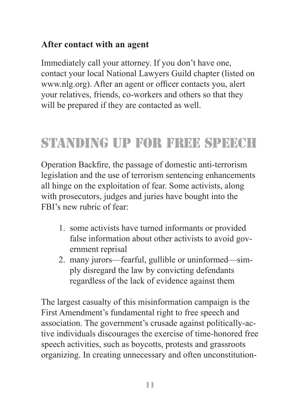#### **After contact with an agent**

Immediately call your attorney. If you don't have one, contact your local National Lawyers Guild chapter (listed on www.nlg.org). After an agent or officer contacts you, alert your relatives, friends, co-workers and others so that they will be prepared if they are contacted as well.

# standing up for free speech

Operation Backfire, the passage of domestic anti-terrorism legislation and the use of terrorism sentencing enhancements all hinge on the exploitation of fear. Some activists, along with prosecutors, judges and juries have bought into the FBI's new rubric of fear:

- 1. some activists have turned informants or provided false information about other activists to avoid gov ernment reprisal
- 2. many jurors—fearful, gullible or uninformed—sim ply disregard the law by convicting defendants regardless of the lack of evidence against them

The largest casualty of this misinformation campaign is the First Amendment's fundamental right to free speech and association. The government's crusade against politically-active individuals discourages the exercise of time-honored free speech activities, such as boycotts, protests and grassroots organizing. In creating unnecessary and often unconstitution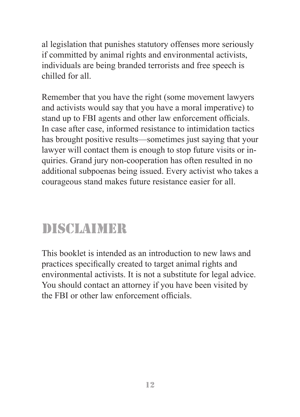al legislation that punishes statutory offenses more seriously if committed by animal rights and environmental activists, individuals are being branded terrorists and free speech is chilled for all.

Remember that you have the right (some movement lawyers and activists would say that you have a moral imperative) to stand up to FBI agents and other law enforcement officials. In case after case, informed resistance to intimidation tactics has brought positive results—sometimes just saying that your lawyer will contact them is enough to stop future visits or inquiries. Grand jury non-cooperation has often resulted in no additional subpoenas being issued. Every activist who takes a courageous stand makes future resistance easier for all.

## disclaimer

This booklet is intended as an introduction to new laws and practices specifically created to target animal rights and environmental activists. It is not a substitute for legal advice. You should contact an attorney if you have been visited by the FBI or other law enforcement officials.